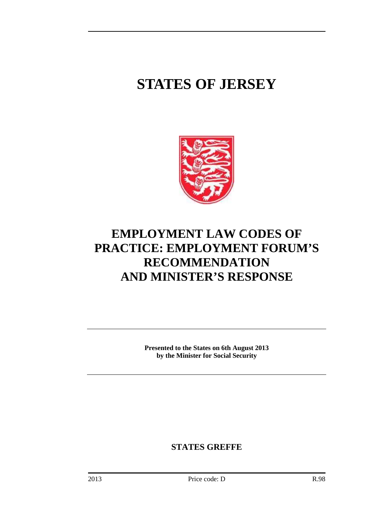## **STATES OF JERSEY**



## **EMPLOYMENT LAW CODES OF PRACTICE: EMPLOYMENT FORUM'S RECOMMENDATION AND MINISTER'S RESPONSE**

**Presented to the States on 6th August 2013 by the Minister for Social Security** 

**STATES GREFFE**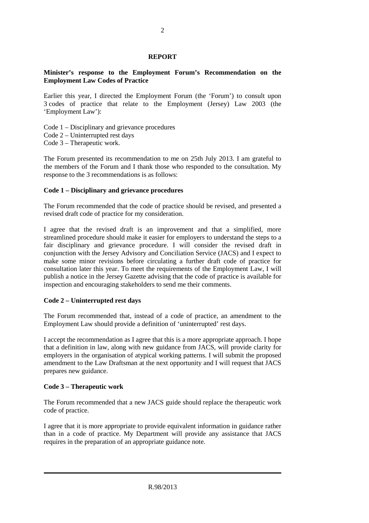#### **REPORT**

#### **Minister's response to the Employment Forum's Recommendation on the Employment Law Codes of Practice**

Earlier this year, I directed the Employment Forum (the 'Forum') to consult upon 3 codes of practice that relate to the Employment (Jersey) Law 2003 (the 'Employment Law'):

- Code 1 Disciplinary and grievance procedures
- Code 2 Uninterrupted rest days
- Code 3 Therapeutic work.

The Forum presented its recommendation to me on 25th July 2013. I am grateful to the members of the Forum and I thank those who responded to the consultation. My response to the 3 recommendations is as follows:

#### **Code 1 – Disciplinary and grievance procedures**

The Forum recommended that the code of practice should be revised, and presented a revised draft code of practice for my consideration.

I agree that the revised draft is an improvement and that a simplified, more streamlined procedure should make it easier for employers to understand the steps to a fair disciplinary and grievance procedure. I will consider the revised draft in conjunction with the Jersey Advisory and Conciliation Service (JACS) and I expect to make some minor revisions before circulating a further draft code of practice for consultation later this year. To meet the requirements of the Employment Law, I will publish a notice in the Jersey Gazette advising that the code of practice is available for inspection and encouraging stakeholders to send me their comments.

#### **Code 2 – Uninterrupted rest days**

The Forum recommended that, instead of a code of practice, an amendment to the Employment Law should provide a definition of 'uninterrupted' rest days.

I accept the recommendation as I agree that this is a more appropriate approach. I hope that a definition in law, along with new guidance from JACS, will provide clarity for employers in the organisation of atypical working patterns. I will submit the proposed amendment to the Law Draftsman at the next opportunity and I will request that JACS prepares new guidance.

#### **Code 3 – Therapeutic work**

The Forum recommended that a new JACS guide should replace the therapeutic work code of practice.

I agree that it is more appropriate to provide equivalent information in guidance rather than in a code of practice. My Department will provide any assistance that JACS requires in the preparation of an appropriate guidance note.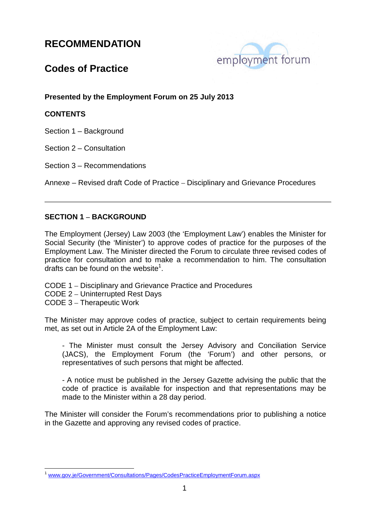

## **Codes of Practice**

**Presented by the Employment Forum on 25 July 2013** 

#### **CONTENTS**

Section 1 – Background

Section 2 – Consultation

Section 3 – Recommendations

Annexe – Revised draft Code of Practice – Disciplinary and Grievance Procedures

#### **SECTION 1 – BACKGROUND**

The Employment (Jersey) Law 2003 (the 'Employment Law') enables the Minister for Social Security (the 'Minister') to approve codes of practice for the purposes of the Employment Law. The Minister directed the Forum to circulate three revised codes of practice for consultation and to make a recommendation to him. The consultation drafts can be found on the website<sup>1</sup>.

- CODE 1 Disciplinary and Grievance Practice and Procedures
- CODE 2 Uninterrupted Rest Days
- CODE 3 Therapeutic Work

The Minister may approve codes of practice, subject to certain requirements being met, as set out in Article 2A of the Employment Law:

- The Minister must consult the Jersey Advisory and Conciliation Service (JACS), the Employment Forum (the 'Forum') and other persons, or representatives of such persons that might be affected.

- A notice must be published in the Jersey Gazette advising the public that the code of practice is available for inspection and that representations may be made to the Minister within a 28 day period.

The Minister will consider the Forum's recommendations prior to publishing a notice in the Gazette and approving any revised codes of practice.

 $\overline{a}$ www.gov.je/Government/Consultations/Pages/CodesPracticeEmploymentForum.aspx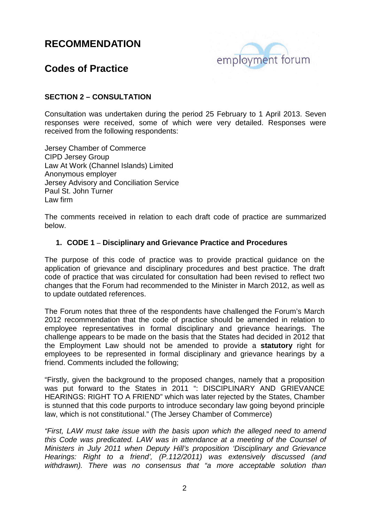

## **Codes of Practice**

#### **SECTION 2 – CONSULTATION**

Consultation was undertaken during the period 25 February to 1 April 2013. Seven responses were received, some of which were very detailed. Responses were received from the following respondents:

Jersey Chamber of Commerce CIPD Jersey Group Law At Work (Channel Islands) Limited Anonymous employer Jersey Advisory and Conciliation Service Paul St. John Turner Law firm

The comments received in relation to each draft code of practice are summarized below.

#### **1. CODE 1 – Disciplinary and Grievance Practice and Procedures**

The purpose of this code of practice was to provide practical guidance on the application of grievance and disciplinary procedures and best practice. The draft code of practice that was circulated for consultation had been revised to reflect two changes that the Forum had recommended to the Minister in March 2012, as well as to update outdated references.

The Forum notes that three of the respondents have challenged the Forum's March 2012 recommendation that the code of practice should be amended in relation to employee representatives in formal disciplinary and grievance hearings. The challenge appears to be made on the basis that the States had decided in 2012 that the Employment Law should not be amended to provide a **statutory** right for employees to be represented in formal disciplinary and grievance hearings by a friend. Comments included the following;

"Firstly, given the background to the proposed changes, namely that a proposition was put forward to the States in 2011 ": DISCIPLINARY AND GRIEVANCE HEARINGS: RIGHT TO A FRIEND" which was later rejected by the States, Chamber is stunned that this code purports to introduce secondary law going beyond principle law, which is not constitutional." (The Jersey Chamber of Commerce)

"First, LAW must take issue with the basis upon which the alleged need to amend this Code was predicated. LAW was in attendance at a meeting of the Counsel of Ministers in July 2011 when Deputy Hill's proposition 'Disciplinary and Grievance Hearings: Right to a friend', (P.112/2011) was extensively discussed (and withdrawn). There was no consensus that "a more acceptable solution than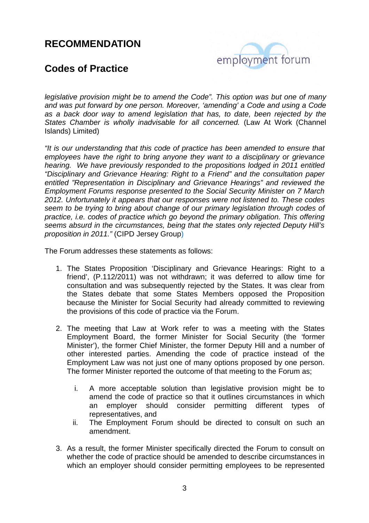

## **Codes of Practice**

legislative provision might be to amend the Code". This option was but one of many and was put forward by one person. Moreover, 'amending' a Code and using a Code as a back door way to amend legislation that has, to date, been rejected by the States Chamber is wholly inadvisable for all concerned. (Law At Work (Channel Islands) Limited)

"It is our understanding that this code of practice has been amended to ensure that employees have the right to bring anyone they want to a disciplinary or grievance hearing. We have previously responded to the propositions lodged in 2011 entitled "Disciplinary and Grievance Hearing: Right to a Friend" and the consultation paper entitled "Representation in Disciplinary and Grievance Hearings" and reviewed the Employment Forums response presented to the Social Security Minister on 7 March 2012. Unfortunately it appears that our responses were not listened to. These codes seem to be trying to bring about change of our primary legislation through codes of practice, i.e. codes of practice which go beyond the primary obligation. This offering seems absurd in the circumstances, being that the states only rejected Deputy Hill's proposition in 2011." (CIPD Jersey Group)

The Forum addresses these statements as follows:

- 1. The States Proposition 'Disciplinary and Grievance Hearings: Right to a friend', (P.112/2011) was not withdrawn; it was deferred to allow time for consultation and was subsequently rejected by the States. It was clear from the States debate that some States Members opposed the Proposition because the Minister for Social Security had already committed to reviewing the provisions of this code of practice via the Forum.
- 2. The meeting that Law at Work refer to was a meeting with the States Employment Board, the former Minister for Social Security (the 'former Minister'), the former Chief Minister, the former Deputy Hill and a number of other interested parties. Amending the code of practice instead of the Employment Law was not just one of many options proposed by one person. The former Minister reported the outcome of that meeting to the Forum as;
	- i. A more acceptable solution than legislative provision might be to amend the code of practice so that it outlines circumstances in which an employer should consider permitting different types of representatives, and
	- ii. The Employment Forum should be directed to consult on such an amendment.
- 3. As a result, the former Minister specifically directed the Forum to consult on whether the code of practice should be amended to describe circumstances in which an employer should consider permitting employees to be represented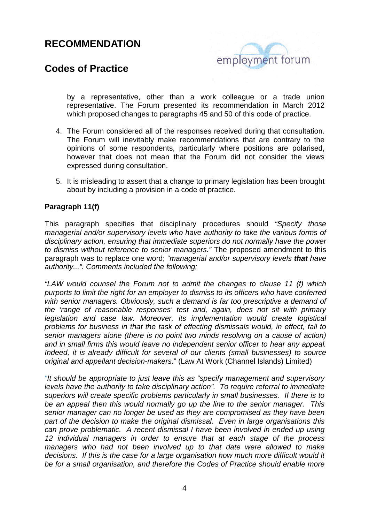

## **Codes of Practice**

by a representative, other than a work colleague or a trade union representative. The Forum presented its recommendation in March 2012 which proposed changes to paragraphs 45 and 50 of this code of practice.

- 4. The Forum considered all of the responses received during that consultation. The Forum will inevitably make recommendations that are contrary to the opinions of some respondents, particularly where positions are polarised, however that does not mean that the Forum did not consider the views expressed during consultation.
- 5. It is misleading to assert that a change to primary legislation has been brought about by including a provision in a code of practice.

#### **Paragraph 11(f)**

This paragraph specifies that disciplinary procedures should "Specify those managerial and/or supervisory levels who have authority to take the various forms of disciplinary action, ensuring that immediate superiors do not normally have the power to dismiss without reference to senior managers." The proposed amendment to this paragraph was to replace one word; "managerial and/or supervisory levels **that** have authority...". Comments included the following;

"LAW would counsel the Forum not to admit the changes to clause 11 (f) which purports to limit the right for an employer to dismiss to its officers who have conferred with senior managers. Obviously, such a demand is far too prescriptive a demand of the 'range of reasonable responses' test and, again, does not sit with primary legislation and case law. Moreover, its implementation would create logistical problems for business in that the task of effecting dismissals would, in effect, fall to senior managers alone (there is no point two minds resolving on a cause of action) and in small firms this would leave no independent senior officer to hear any appeal. Indeed, it is already difficult for several of our clients (small businesses) to source original and appellant decision-makers." (Law At Work (Channel Islands) Limited)

"It should be appropriate to just leave this as "specify management and supervisory levels have the authority to take disciplinary action". To require referral to immediate superiors will create specific problems particularly in small businesses. If there is to be an appeal then this would normally go up the line to the senior manager. This senior manager can no longer be used as they are compromised as they have been part of the decision to make the original dismissal. Even in large organisations this can prove problematic. A recent dismissal I have been involved in ended up using 12 individual managers in order to ensure that at each stage of the process managers who had not been involved up to that date were allowed to make decisions. If this is the case for a large organisation how much more difficult would it be for a small organisation, and therefore the Codes of Practice should enable more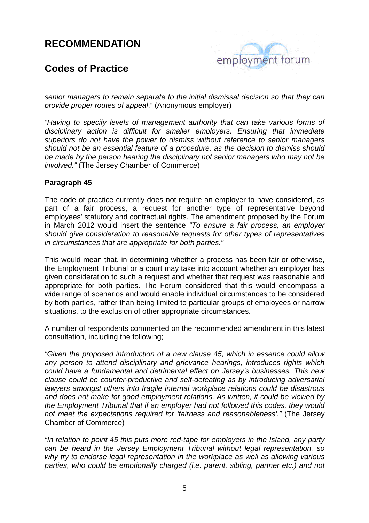

## **Codes of Practice**

senior managers to remain separate to the initial dismissal decision so that they can provide proper routes of appeal." (Anonymous employer)

"Having to specify levels of management authority that can take various forms of disciplinary action is difficult for smaller employers. Ensuring that immediate superiors do not have the power to dismiss without reference to senior managers should not be an essential feature of a procedure, as the decision to dismiss should be made by the person hearing the disciplinary not senior managers who may not be involved." (The Jersey Chamber of Commerce)

#### **Paragraph 45**

The code of practice currently does not require an employer to have considered, as part of a fair process, a request for another type of representative beyond employees' statutory and contractual rights. The amendment proposed by the Forum in March 2012 would insert the sentence "To ensure a fair process, an employer should give consideration to reasonable requests for other types of representatives in circumstances that are appropriate for both parties."

This would mean that, in determining whether a process has been fair or otherwise, the Employment Tribunal or a court may take into account whether an employer has given consideration to such a request and whether that request was reasonable and appropriate for both parties. The Forum considered that this would encompass a wide range of scenarios and would enable individual circumstances to be considered by both parties, rather than being limited to particular groups of employees or narrow situations, to the exclusion of other appropriate circumstances.

A number of respondents commented on the recommended amendment in this latest consultation, including the following;

"Given the proposed introduction of a new clause 45, which in essence could allow any person to attend disciplinary and grievance hearings, introduces rights which could have a fundamental and detrimental effect on Jersey's businesses. This new clause could be counter-productive and self-defeating as by introducing adversarial lawyers amongst others into fragile internal workplace relations could be disastrous and does not make for good employment relations. As written, it could be viewed by the Employment Tribunal that if an employer had not followed this codes, they would not meet the expectations required for 'fairness and reasonableness'." (The Jersey Chamber of Commerce)

"In relation to point 45 this puts more red-tape for employers in the Island, any party can be heard in the Jersey Employment Tribunal without legal representation, so why try to endorse legal representation in the workplace as well as allowing various parties, who could be emotionally charged (i.e. parent, sibling, partner etc.) and not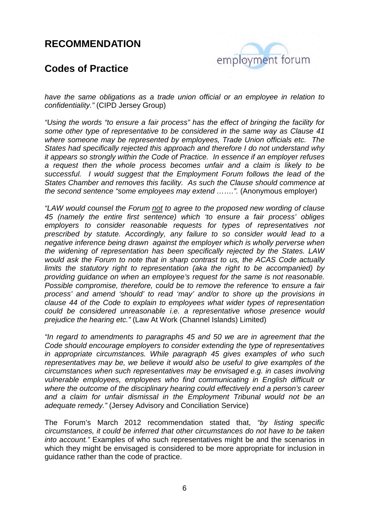

## **Codes of Practice**

have the same obligations as a trade union official or an employee in relation to confidentiality." (CIPD Jersey Group)

"Using the words "to ensure a fair process" has the effect of bringing the facility for some other type of representative to be considered in the same way as Clause 41 where someone may be represented by employees, Trade Union officials etc. The States had specifically rejected this approach and therefore I do not understand why it appears so strongly within the Code of Practice. In essence if an employer refuses a request then the whole process becomes unfair and a claim is likely to be successful. I would suggest that the Employment Forum follows the lead of the States Chamber and removes this facility. As such the Clause should commence at the second sentence "some employees may extend …….". (Anonymous employer)

"LAW would counsel the Forum not to agree to the proposed new wording of clause 45 (namely the entire first sentence) which 'to ensure a fair process' obliges employers to consider reasonable requests for types of representatives not prescribed by statute. Accordingly, any failure to so consider would lead to a negative inference being drawn against the employer which is wholly perverse when the widening of representation has been specifically rejected by the States. LAW would ask the Forum to note that in sharp contrast to us, the ACAS Code actually limits the statutory right to representation (aka the right to be accompanied) by providing guidance on when an employee's request for the same is not reasonable. Possible compromise, therefore, could be to remove the reference 'to ensure a fair process' and amend 'should' to read 'may' and/or to shore up the provisions in clause 44 of the Code to explain to employees what wider types of representation could be considered unreasonable i.e. a representative whose presence would prejudice the hearing etc." (Law At Work (Channel Islands) Limited)

"In regard to amendments to paragraphs 45 and 50 we are in agreement that the Code should encourage employers to consider extending the type of representatives in appropriate circumstances. While paragraph 45 gives examples of who such representatives may be, we believe it would also be useful to give examples of the circumstances when such representatives may be envisaged e.g. in cases involving vulnerable employees, employees who find communicating in English difficult or where the outcome of the disciplinary hearing could effectively end a person's career and a claim for unfair dismissal in the Employment Tribunal would not be an adequate remedy." (Jersey Advisory and Conciliation Service)

The Forum's March 2012 recommendation stated that, "by listing specific circumstances, it could be inferred that other circumstances do not have to be taken into account." Examples of who such representatives might be and the scenarios in which they might be envisaged is considered to be more appropriate for inclusion in guidance rather than the code of practice.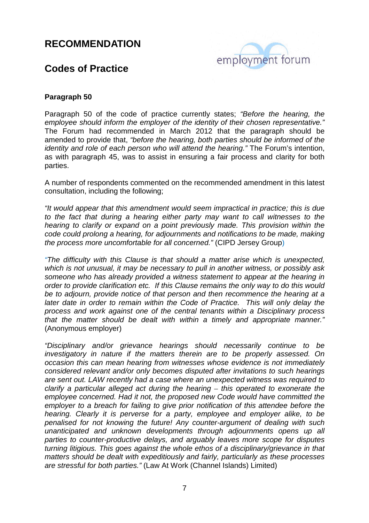

### **Codes of Practice**

#### **Paragraph 50**

Paragraph 50 of the code of practice currently states; "Before the hearing, the employee should inform the employer of the identity of their chosen representative." The Forum had recommended in March 2012 that the paragraph should be amended to provide that, "before the hearing, both parties should be informed of the identity and role of each person who will attend the hearing." The Forum's intention, as with paragraph 45, was to assist in ensuring a fair process and clarity for both parties.

A number of respondents commented on the recommended amendment in this latest consultation, including the following;

"It would appear that this amendment would seem impractical in practice; this is due to the fact that during a hearing either party may want to call witnesses to the hearing to clarify or expand on a point previously made. This provision within the code could prolong a hearing, for adjournments and notifications to be made, making the process more uncomfortable for all concerned." (CIPD Jersey Group)

"The difficulty with this Clause is that should a matter arise which is unexpected, which is not unusual, it may be necessary to pull in another witness, or possibly ask someone who has already provided a witness statement to appear at the hearing in order to provide clarification etc. If this Clause remains the only way to do this would be to adjourn, provide notice of that person and then recommence the hearing at a later date in order to remain within the Code of Practice. This will only delay the process and work against one of the central tenants within a Disciplinary process that the matter should be dealt with within a timely and appropriate manner." (Anonymous employer)

"Disciplinary and/or grievance hearings should necessarily continue to be investigatory in nature if the matters therein are to be properly assessed. On occasion this can mean hearing from witnesses whose evidence is not immediately considered relevant and/or only becomes disputed after invitations to such hearings are sent out. LAW recently had a case where an unexpected witness was required to clarify a particular alleged act during the hearing *–* this operated to exonerate the employee concerned. Had it not, the proposed new Code would have committed the employer to a breach for failing to give prior notification of this attendee before the hearing. Clearly it is perverse for a party, employee and employer alike, to be penalised for not knowing the future! Any counter-argument of dealing with such unanticipated and unknown developments through adjournments opens up all parties to counter-productive delays, and arguably leaves more scope for disputes turning litigious. This goes against the whole ethos of a disciplinary/grievance in that matters should be dealt with expeditiously and fairly, particularly as these processes are stressful for both parties." (Law At Work (Channel Islands) Limited)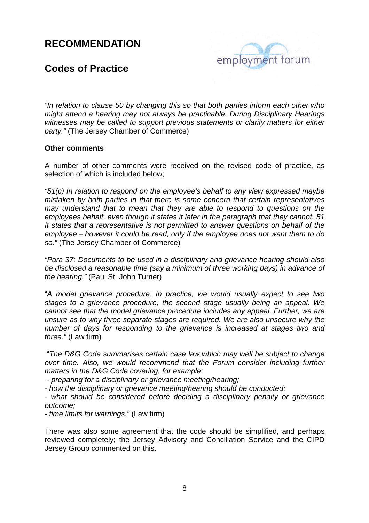

## **Codes of Practice**

"In relation to clause 50 by changing this so that both parties inform each other who might attend a hearing may not always be practicable. During Disciplinary Hearings witnesses may be called to support previous statements or clarify matters for either party." (The Jersey Chamber of Commerce)

#### **Other comments**

A number of other comments were received on the revised code of practice, as selection of which is included below;

"51(c) In relation to respond on the employee's behalf to any view expressed maybe mistaken by both parties in that there is some concern that certain representatives may understand that to mean that they are able to respond to questions on the employees behalf, even though it states it later in the paragraph that they cannot. 51 It states that a representative is not permitted to answer questions on behalf of the employee *–* however it could be read, only if the employee does not want them to do so." (The Jersey Chamber of Commerce)

"Para 37: Documents to be used in a disciplinary and grievance hearing should also be disclosed a reasonable time (say a minimum of three working days) in advance of the hearing." (Paul St. John Turner)

"A model grievance procedure: In practice, we would usually expect to see two stages to a grievance procedure; the second stage usually being an appeal. We cannot see that the model grievance procedure includes any appeal. Further, we are unsure as to why three separate stages are required. We are also unsecure why the number of days for responding to the grievance is increased at stages two and three." (Law firm)

 "The D&G Code summarises certain case law which may well be subject to change over time. Also, we would recommend that the Forum consider including further matters in the D&G Code covering, for example:

- preparing for a disciplinary or grievance meeting/hearing;

- how the disciplinary or grievance meeting/hearing should be conducted;

- what should be considered before deciding a disciplinary penalty or grievance outcome;

- time limits for warnings." (Law firm)

There was also some agreement that the code should be simplified, and perhaps reviewed completely; the Jersey Advisory and Conciliation Service and the CIPD Jersey Group commented on this.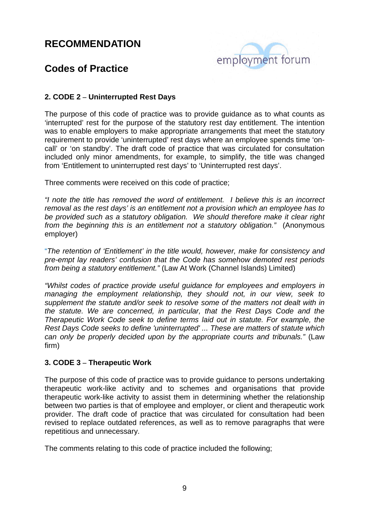

## **Codes of Practice**

#### **2. CODE 2 – Uninterrupted Rest Days**

The purpose of this code of practice was to provide guidance as to what counts as 'interrupted' rest for the purpose of the statutory rest day entitlement. The intention was to enable employers to make appropriate arrangements that meet the statutory requirement to provide 'uninterrupted' rest days where an employee spends time 'oncall' or 'on standby'. The draft code of practice that was circulated for consultation included only minor amendments, for example, to simplify, the title was changed from 'Entitlement to uninterrupted rest days' to 'Uninterrupted rest days'.

Three comments were received on this code of practice;

"I note the title has removed the word of entitlement. I believe this is an incorrect removal as the rest days' is an entitlement not a provision which an employee has to be provided such as a statutory obligation. We should therefore make it clear right from the beginning this is an entitlement not a statutory obligation." (Anonymous employer)

"The retention of 'Entitlement' in the title would, however, make for consistency and pre-empt lay readers' confusion that the Code has somehow demoted rest periods from being a statutory entitlement." (Law At Work (Channel Islands) Limited)

"Whilst codes of practice provide useful guidance for employees and employers in managing the employment relationship, they should not, in our view, seek to supplement the statute and/or seek to resolve some of the matters not dealt with in the statute. We are concerned, in particular, that the Rest Days Code and the Therapeutic Work Code seek to define terms laid out in statute. For example, the Rest Days Code seeks to define 'uninterrupted' ... These are matters of statute which can only be properly decided upon by the appropriate courts and tribunals." (Law firm)

#### **3. CODE 3 – Therapeutic Work**

The purpose of this code of practice was to provide guidance to persons undertaking therapeutic work-like activity and to schemes and organisations that provide therapeutic work-like activity to assist them in determining whether the relationship between two parties is that of employee and employer, or client and therapeutic work provider. The draft code of practice that was circulated for consultation had been revised to replace outdated references, as well as to remove paragraphs that were repetitious and unnecessary.

The comments relating to this code of practice included the following;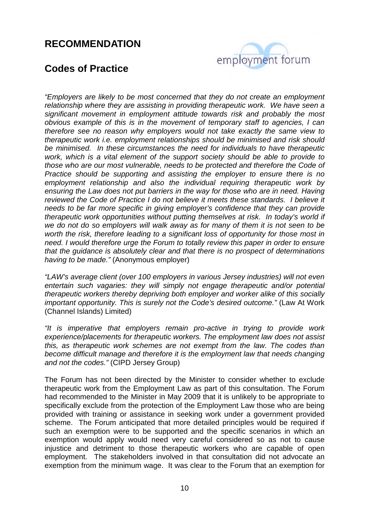# employment forum

## **Codes of Practice**

"Employers are likely to be most concerned that they do not create an employment relationship where they are assisting in providing therapeutic work. We have seen a significant movement in employment attitude towards risk and probably the most obvious example of this is in the movement of temporary staff to agencies, I can therefore see no reason why employers would not take exactly the same view to therapeutic work i.e. employment relationships should be minimised and risk should be minimised. In these circumstances the need for individuals to have therapeutic work, which is a vital element of the support society should be able to provide to those who are our most vulnerable, needs to be protected and therefore the Code of Practice should be supporting and assisting the employer to ensure there is no employment relationship and also the individual requiring therapeutic work by ensuring the Law does not put barriers in the way for those who are in need. Having reviewed the Code of Practice I do not believe it meets these standards. I believe it needs to be far more specific in giving employer's confidence that they can provide therapeutic work opportunities without putting themselves at risk. In today's world if we do not do so employers will walk away as for many of them it is not seen to be worth the risk, therefore leading to a significant loss of opportunity for those most in need. I would therefore urge the Forum to totally review this paper in order to ensure that the guidance is absolutely clear and that there is no prospect of determinations having to be made." (Anonymous employer)

"LAW's average client (over 100 employers in various Jersey industries) will not even entertain such vagaries: they will simply not engage therapeutic and/or potential therapeutic workers thereby depriving both employer and worker alike of this socially important opportunity. This is surely not the Code's desired outcome." (Law At Work (Channel Islands) Limited)

"It is imperative that employers remain pro-active in trying to provide work experience/placements for therapeutic workers. The employment law does not assist this, as therapeutic work schemes are not exempt from the law. The codes than become difficult manage and therefore it is the employment law that needs changing and not the codes." (CIPD Jersey Group)

The Forum has not been directed by the Minister to consider whether to exclude therapeutic work from the Employment Law as part of this consultation. The Forum had recommended to the Minister in May 2009 that it is unlikely to be appropriate to specifically exclude from the protection of the Employment Law those who are being provided with training or assistance in seeking work under a government provided scheme. The Forum anticipated that more detailed principles would be required if such an exemption were to be supported and the specific scenarios in which an exemption would apply would need very careful considered so as not to cause injustice and detriment to those therapeutic workers who are capable of open employment. The stakeholders involved in that consultation did not advocate an exemption from the minimum wage. It was clear to the Forum that an exemption for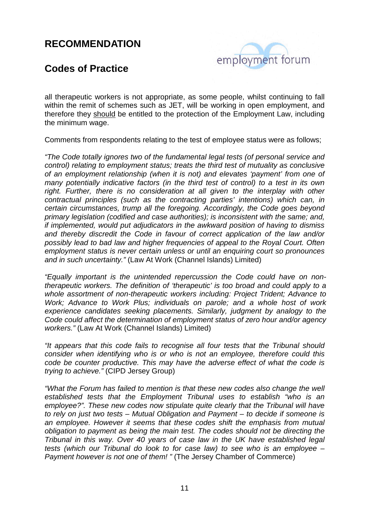

## **Codes of Practice**

all therapeutic workers is not appropriate, as some people, whilst continuing to fall within the remit of schemes such as JET, will be working in open employment, and therefore they should be entitled to the protection of the Employment Law, including the minimum wage.

Comments from respondents relating to the test of employee status were as follows;

"The Code totally ignores two of the fundamental legal tests (of personal service and control) relating to employment status; treats the third test of mutuality as conclusive of an employment relationship (when it is not) and elevates 'payment' from one of many potentially indicative factors (in the third test of control) to a test in its own right. Further, there is no consideration at all given to the interplay with other contractual principles (such as the contracting parties' intentions) which can, in certain circumstances, trump all the foregoing. Accordingly, the Code goes beyond primary legislation (codified and case authorities); is inconsistent with the same; and, if implemented, would put adjudicators in the awkward position of having to dismiss and thereby discredit the Code in favour of correct application of the law and/or possibly lead to bad law and higher frequencies of appeal to the Royal Court. Often employment status is never certain unless or until an enquiring court so pronounces and in such uncertainty." (Law At Work (Channel Islands) Limited)

"Equally important is the unintended repercussion the Code could have on nontherapeutic workers. The definition of 'therapeutic' is too broad and could apply to a whole assortment of non-therapeutic workers including: Project Trident; Advance to Work; Advance to Work Plus; individuals on parole; and a whole host of work experience candidates seeking placements. Similarly, judgment by analogy to the Code could affect the determination of employment status of zero hour and/or agency workers." (Law At Work (Channel Islands) Limited)

"It appears that this code fails to recognise all four tests that the Tribunal should consider when identifying who is or who is not an employee, therefore could this code be counter productive. This may have the adverse effect of what the code is trying to achieve." (CIPD Jersey Group)

"What the Forum has failed to mention is that these new codes also change the well established tests that the Employment Tribunal uses to establish "who is an employee?". These new codes now stipulate quite clearly that the Tribunal will have to rely on just two tests – Mutual Obligation and Payment – to decide if someone is an employee. However it seems that these codes shift the emphasis from mutual obligation to payment as being the main test. The codes should not be directing the Tribunal in this way. Over 40 years of case law in the UK have established legal tests (which our Tribunal do look to for case law) to see who is an employee – Payment however is not one of them! " (The Jersey Chamber of Commerce)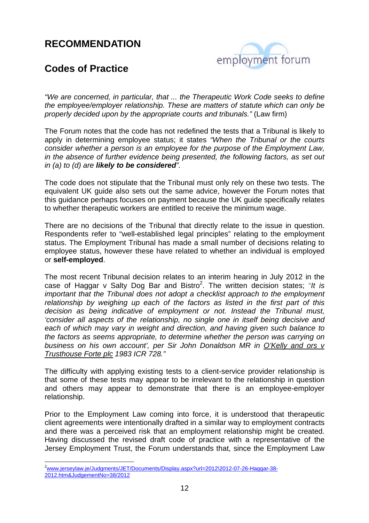

## **Codes of Practice**

"We are concerned, in particular, that ... the Therapeutic Work Code seeks to define the employee/employer relationship. These are matters of statute which can only be properly decided upon by the appropriate courts and tribunals." (Law firm)

The Forum notes that the code has not redefined the tests that a Tribunal is likely to apply in determining employee status; it states "When the Tribunal or the courts consider whether a person is an employee for the purpose of the Employment Law, in the absence of further evidence being presented, the following factors, as set out in (a) to (d) are **likely to be considered**".

The code does not stipulate that the Tribunal must only rely on these two tests. The equivalent UK guide also sets out the same advice, however the Forum notes that this guidance perhaps focuses on payment because the UK guide specifically relates to whether therapeutic workers are entitled to receive the minimum wage.

There are no decisions of the Tribunal that directly relate to the issue in question. Respondents refer to "well-established legal principles" relating to the employment status. The Employment Tribunal has made a small number of decisions relating to employee status, however these have related to whether an individual is employed or **self-employed**.

The most recent Tribunal decision relates to an interim hearing in July 2012 in the case of Haggar v Salty Dog Bar and Bistro<sup>2</sup>. The written decision states; "It is important that the Tribunal does not adopt a checklist approach to the employment relationship by weighing up each of the factors as listed in the first part of this decision as being indicative of employment or not. Instead the Tribunal must, 'consider all aspects of the relationship, no single one in itself being decisive and each of which may vary in weight and direction, and having given such balance to the factors as seems appropriate, to determine whether the person was carrying on business on his own account', per Sir John Donaldson MR in O'Kelly and ors v Trusthouse Forte plc 1983 ICR 728."

The difficulty with applying existing tests to a client-service provider relationship is that some of these tests may appear to be irrelevant to the relationship in question and others may appear to demonstrate that there is an employee-employer relationship.

Prior to the Employment Law coming into force, it is understood that therapeutic client agreements were intentionally drafted in a similar way to employment contracts and there was a perceived risk that an employment relationship might be created. Having discussed the revised draft code of practice with a representative of the Jersey Employment Trust, the Forum understands that, since the Employment Law

 $\overline{a}$ 

<sup>2</sup>www.jerseylaw.je/Judgments/JET/Documents/Display.aspx?url=2012\2012-07-26-Haggar-38- 2012.htm&JudgementNo=38/2012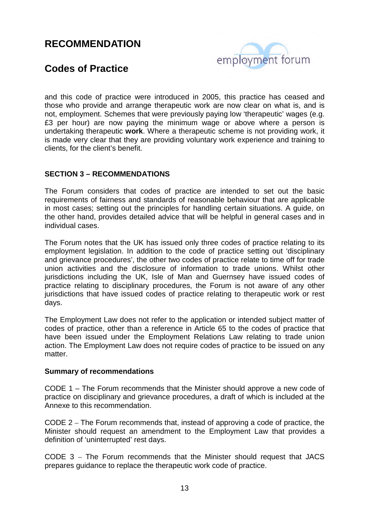

## **Codes of Practice**

and this code of practice were introduced in 2005, this practice has ceased and those who provide and arrange therapeutic work are now clear on what is, and is not, employment. Schemes that were previously paying low 'therapeutic' wages (e.g. £3 per hour) are now paying the minimum wage or above where a person is undertaking therapeutic **work**. Where a therapeutic scheme is not providing work, it is made very clear that they are providing voluntary work experience and training to clients, for the client's benefit.

#### **SECTION 3 – RECOMMENDATIONS**

The Forum considers that codes of practice are intended to set out the basic requirements of fairness and standards of reasonable behaviour that are applicable in most cases; setting out the principles for handling certain situations. A guide, on the other hand, provides detailed advice that will be helpful in general cases and in individual cases.

The Forum notes that the UK has issued only three codes of practice relating to its employment legislation. In addition to the code of practice setting out 'disciplinary and grievance procedures', the other two codes of practice relate to time off for trade union activities and the disclosure of information to trade unions. Whilst other jurisdictions including the UK, Isle of Man and Guernsey have issued codes of practice relating to disciplinary procedures, the Forum is not aware of any other jurisdictions that have issued codes of practice relating to therapeutic work or rest days.

The Employment Law does not refer to the application or intended subject matter of codes of practice, other than a reference in Article 65 to the codes of practice that have been issued under the Employment Relations Law relating to trade union action. The Employment Law does not require codes of practice to be issued on any matter.

#### **Summary of recommendations**

CODE 1 – The Forum recommends that the Minister should approve a new code of practice on disciplinary and grievance procedures, a draft of which is included at the Annexe to this recommendation.

CODE 2 – The Forum recommends that, instead of approving a code of practice, the Minister should request an amendment to the Employment Law that provides a definition of 'uninterrupted' rest days.

CODE 3 – The Forum recommends that the Minister should request that JACS prepares guidance to replace the therapeutic work code of practice.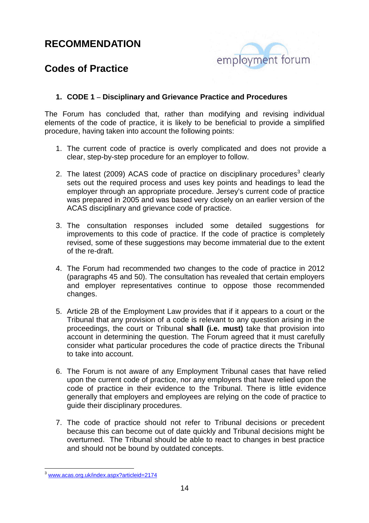

## **Codes of Practice**

#### **1. CODE 1 – Disciplinary and Grievance Practice and Procedures**

The Forum has concluded that, rather than modifying and revising individual elements of the code of practice, it is likely to be beneficial to provide a simplified procedure, having taken into account the following points:

- 1. The current code of practice is overly complicated and does not provide a clear, step-by-step procedure for an employer to follow.
- 2. The latest (2009) ACAS code of practice on disciplinary procedures<sup>3</sup> clearly sets out the required process and uses key points and headings to lead the employer through an appropriate procedure. Jersey's current code of practice was prepared in 2005 and was based very closely on an earlier version of the ACAS disciplinary and grievance code of practice.
- 3. The consultation responses included some detailed suggestions for improvements to this code of practice. If the code of practice is completely revised, some of these suggestions may become immaterial due to the extent of the re-draft.
- 4. The Forum had recommended two changes to the code of practice in 2012 (paragraphs 45 and 50). The consultation has revealed that certain employers and employer representatives continue to oppose those recommended changes.
- 5. Article 2B of the Employment Law provides that if it appears to a court or the Tribunal that any provision of a code is relevant to any question arising in the proceedings, the court or Tribunal **shall (i.e. must)** take that provision into account in determining the question. The Forum agreed that it must carefully consider what particular procedures the code of practice directs the Tribunal to take into account.
- 6. The Forum is not aware of any Employment Tribunal cases that have relied upon the current code of practice, nor any employers that have relied upon the code of practice in their evidence to the Tribunal. There is little evidence generally that employers and employees are relying on the code of practice to guide their disciplinary procedures.
- 7. The code of practice should not refer to Tribunal decisions or precedent because this can become out of date quickly and Tribunal decisions might be overturned. The Tribunal should be able to react to changes in best practice and should not be bound by outdated concepts.

 $\overline{a}$ <sup>3</sup> www.acas.org.uk/index.aspx?articleid=2174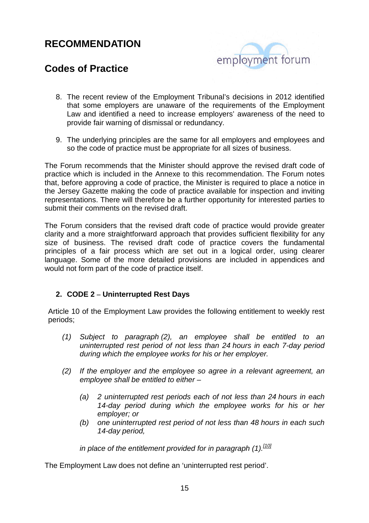

## **Codes of Practice**

- 8. The recent review of the Employment Tribunal's decisions in 2012 identified that some employers are unaware of the requirements of the Employment Law and identified a need to increase employers' awareness of the need to provide fair warning of dismissal or redundancy.
- 9. The underlying principles are the same for all employers and employees and so the code of practice must be appropriate for all sizes of business.

The Forum recommends that the Minister should approve the revised draft code of practice which is included in the Annexe to this recommendation. The Forum notes that, before approving a code of practice, the Minister is required to place a notice in the Jersey Gazette making the code of practice available for inspection and inviting representations. There will therefore be a further opportunity for interested parties to submit their comments on the revised draft.

The Forum considers that the revised draft code of practice would provide greater clarity and a more straightforward approach that provides sufficient flexibility for any size of business. The revised draft code of practice covers the fundamental principles of a fair process which are set out in a logical order, using clearer language. Some of the more detailed provisions are included in appendices and would not form part of the code of practice itself.

#### **2. CODE 2 – Uninterrupted Rest Days**

Article 10 of the Employment Law provides the following entitlement to weekly rest periods;

- (1) Subject to paragraph (2), an employee shall be entitled to an uninterrupted rest period of not less than 24 hours in each 7-day period during which the employee works for his or her employer.
- (2) If the employer and the employee so agree in a relevant agreement, an employee shall be entitled to either –
	- (a) 2 uninterrupted rest periods each of not less than 24 hours in each 14-day period during which the employee works for his or her employer; or
	- (b) one uninterrupted rest period of not less than 48 hours in each such 14-day period,

in place of the entitlement provided for in paragraph  $(1)$ . [10]

The Employment Law does not define an 'uninterrupted rest period'.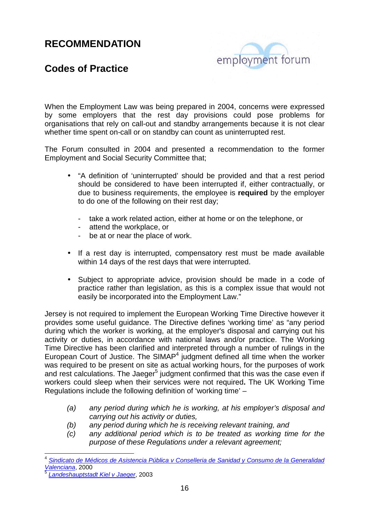## employment forum

## **Codes of Practice**

When the Employment Law was being prepared in 2004, concerns were expressed by some employers that the rest day provisions could pose problems for organisations that rely on call-out and standby arrangements because it is not clear whether time spent on-call or on standby can count as uninterrupted rest.

The Forum consulted in 2004 and presented a recommendation to the former Employment and Social Security Committee that;

- "A definition of 'uninterrupted' should be provided and that a rest period should be considered to have been interrupted if, either contractually, or due to business requirements, the employee is **required** by the employer to do one of the following on their rest day;
	- take a work related action, either at home or on the telephone, or
	- attend the workplace, or
	- be at or near the place of work.
- If a rest day is interrupted, compensatory rest must be made available within 14 days of the rest days that were interrupted.
- Subject to appropriate advice, provision should be made in a code of practice rather than legislation, as this is a complex issue that would not easily be incorporated into the Employment Law."

Jersey is not required to implement the European Working Time Directive however it provides some useful guidance. The Directive defines 'working time' as "any period during which the worker is working, at the employer's disposal and carrying out his activity or duties, in accordance with national laws and/or practice. The Working Time Directive has been clarified and interpreted through a number of rulings in the European Court of Justice. The SIMAP $4$  judgment defined all time when the worker was required to be present on site as actual working hours, for the purposes of work and rest calculations. The Jaeger<sup>5</sup> judgment confirmed that this was the case even if workers could sleep when their services were not required**.** The UK Working Time Regulations include the following definition of 'working time' –

- (a) any period during which he is working, at his employer's disposal and carrying out his activity or duties,
- (b) any period during which he is receiving relevant training, and
- (c) any additional period which is to be treated as working time for the purpose of these Regulations under a relevant agreement;

 $\overline{\phantom{a}}$ 4 Sindicato de Médicos de Asistencia Pública v Conselleria de Sanidad y Consumo de la Generalidad Valenciana, 2000

<sup>5</sup> Landeshauptstadt Kiel v Jaeger, 2003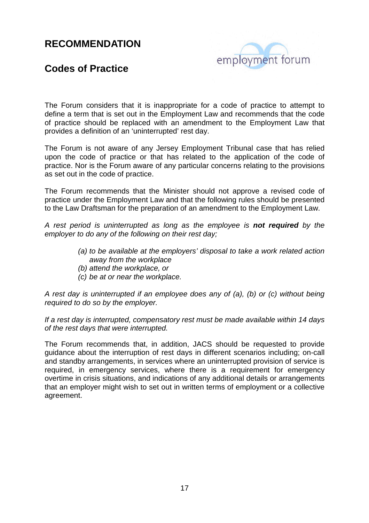# employment forum

## **Codes of Practice**

The Forum considers that it is inappropriate for a code of practice to attempt to define a term that is set out in the Employment Law and recommends that the code of practice should be replaced with an amendment to the Employment Law that provides a definition of an 'uninterrupted' rest day.

The Forum is not aware of any Jersey Employment Tribunal case that has relied upon the code of practice or that has related to the application of the code of practice. Nor is the Forum aware of any particular concerns relating to the provisions as set out in the code of practice.

The Forum recommends that the Minister should not approve a revised code of practice under the Employment Law and that the following rules should be presented to the Law Draftsman for the preparation of an amendment to the Employment Law.

A rest period is uninterrupted as long as the employee is **not required** by the employer to do any of the following on their rest day;

- (a) to be available at the employers' disposal to take a work related action away from the workplace
- (b) attend the workplace, or
- (c) be at or near the workplace.

A rest day is uninterrupted if an employee does any of (a), (b) or (c) without being required to do so by the employer.

If a rest day is interrupted, compensatory rest must be made available within 14 days of the rest days that were interrupted.

The Forum recommends that, in addition, JACS should be requested to provide guidance about the interruption of rest days in different scenarios including; on-call and standby arrangements, in services where an uninterrupted provision of service is required, in emergency services, where there is a requirement for emergency overtime in crisis situations, and indications of any additional details or arrangements that an employer might wish to set out in written terms of employment or a collective agreement.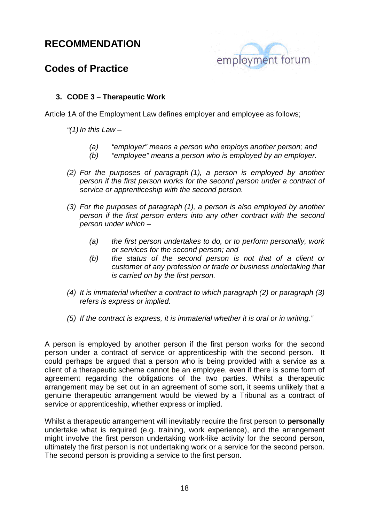

## **Codes of Practice**

#### **3. CODE 3 – Therapeutic Work**

Article 1A of the Employment Law defines employer and employee as follows;

"(1) In this Law  $-$ 

- (a) "employer" means a person who employs another person; and
- (b) "employee" means a person who is employed by an employer.
- (2) For the purposes of paragraph (1), a person is employed by another person if the first person works for the second person under a contract of service or apprenticeship with the second person.
- (3) For the purposes of paragraph (1), a person is also employed by another person if the first person enters into any other contract with the second person under which –
	- (a) the first person undertakes to do, or to perform personally, work or services for the second person; and
	- (b) the status of the second person is not that of a client or customer of any profession or trade or business undertaking that is carried on by the first person.
- (4) It is immaterial whether a contract to which paragraph (2) or paragraph (3) refers is express or implied.
- (5) If the contract is express, it is immaterial whether it is oral or in writing."

A person is employed by another person if the first person works for the second person under a contract of service or apprenticeship with the second person. It could perhaps be argued that a person who is being provided with a service as a client of a therapeutic scheme cannot be an employee, even if there is some form of agreement regarding the obligations of the two parties. Whilst a therapeutic arrangement may be set out in an agreement of some sort, it seems unlikely that a genuine therapeutic arrangement would be viewed by a Tribunal as a contract of service or apprenticeship, whether express or implied.

Whilst a therapeutic arrangement will inevitably require the first person to **personally**  undertake what is required (e.g. training, work experience), and the arrangement might involve the first person undertaking work-like activity for the second person, ultimately the first person is not undertaking work or a service for the second person. The second person is providing a service to the first person.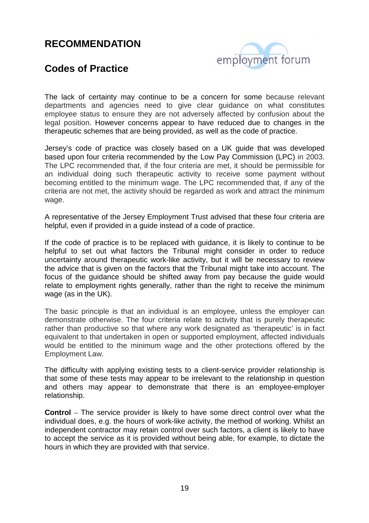

## **Codes of Practice**

The lack of certainty may continue to be a concern for some because relevant departments and agencies need to give clear guidance on what constitutes employee status to ensure they are not adversely affected by confusion about the legal position. However concerns appear to have reduced due to changes in the therapeutic schemes that are being provided, as well as the code of practice.

Jersey's code of practice was closely based on a UK guide that was developed based upon four criteria recommended by the Low Pay Commission (LPC) in 2003. The LPC recommended that, if the four criteria are met, it should be permissible for an individual doing such therapeutic activity to receive some payment without becoming entitled to the minimum wage. The LPC recommended that, if any of the criteria are not met, the activity should be regarded as work and attract the minimum wage.

A representative of the Jersey Employment Trust advised that these four criteria are helpful, even if provided in a guide instead of a code of practice.

If the code of practice is to be replaced with guidance, it is likely to continue to be helpful to set out what factors the Tribunal might consider in order to reduce uncertainty around therapeutic work-like activity, but it will be necessary to review the advice that is given on the factors that the Tribunal might take into account. The focus of the guidance should be shifted away from pay because the guide would relate to employment rights generally, rather than the right to receive the minimum wage (as in the UK).

The basic principle is that an individual is an employee, unless the employer can demonstrate otherwise. The four criteria relate to activity that is purely therapeutic rather than productive so that where any work designated as 'therapeutic' is in fact equivalent to that undertaken in open or supported employment, affected individuals would be entitled to the minimum wage and the other protections offered by the Employment Law.

The difficulty with applying existing tests to a client-service provider relationship is that some of these tests may appear to be irrelevant to the relationship in question and others may appear to demonstrate that there is an employee-employer relationship.

**Control** – The service provider is likely to have some direct control over what the individual does, e.g. the hours of work-like activity, the method of working. Whilst an independent contractor may retain control over such factors, a client is likely to have to accept the service as it is provided without being able, for example, to dictate the hours in which they are provided with that service.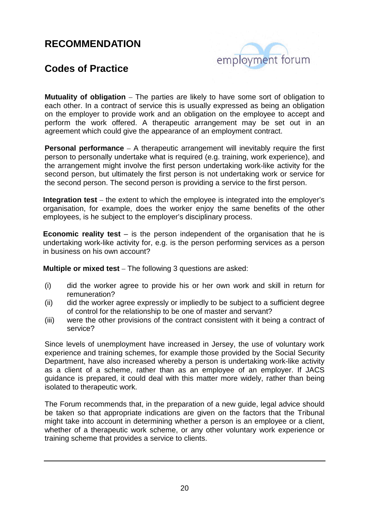

## **Codes of Practice**

**Mutuality of obligation** – The parties are likely to have some sort of obligation to each other. In a contract of service this is usually expressed as being an obligation on the employer to provide work and an obligation on the employee to accept and perform the work offered. A therapeutic arrangement may be set out in an agreement which could give the appearance of an employment contract.

**Personal performance** – A therapeutic arrangement will inevitably require the first person to personally undertake what is required (e.g. training, work experience), and the arrangement might involve the first person undertaking work-like activity for the second person, but ultimately the first person is not undertaking work or service for the second person. The second person is providing a service to the first person.

**Integration test** – the extent to which the employee is integrated into the employer's organisation, for example, does the worker enjoy the same benefits of the other employees, is he subject to the employer's disciplinary process.

**Economic reality test** – is the person independent of the organisation that he is undertaking work-like activity for, e.g. is the person performing services as a person in business on his own account?

**Multiple or mixed test** – The following 3 questions are asked:

- (i) did the worker agree to provide his or her own work and skill in return for remuneration?
- (ii) did the worker agree expressly or impliedly to be subject to a sufficient degree of control for the relationship to be one of master and servant?
- (iii) were the other provisions of the contract consistent with it being a contract of service?

Since levels of unemployment have increased in Jersey, the use of voluntary work experience and training schemes, for example those provided by the Social Security Department, have also increased whereby a person is undertaking work-like activity as a client of a scheme, rather than as an employee of an employer. If JACS guidance is prepared, it could deal with this matter more widely, rather than being isolated to therapeutic work.

The Forum recommends that, in the preparation of a new guide, legal advice should be taken so that appropriate indications are given on the factors that the Tribunal might take into account in determining whether a person is an employee or a client, whether of a therapeutic work scheme, or any other voluntary work experience or training scheme that provides a service to clients.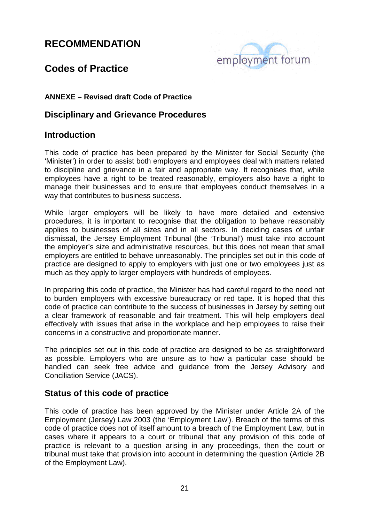

## **Codes of Practice**

#### **ANNEXE – Revised draft Code of Practice**

#### **Disciplinary and Grievance Procedures**

#### **Introduction**

This code of practice has been prepared by the Minister for Social Security (the 'Minister') in order to assist both employers and employees deal with matters related to discipline and grievance in a fair and appropriate way. It recognises that, while employees have a right to be treated reasonably, employers also have a right to manage their businesses and to ensure that employees conduct themselves in a way that contributes to business success.

While larger employers will be likely to have more detailed and extensive procedures, it is important to recognise that the obligation to behave reasonably applies to businesses of all sizes and in all sectors. In deciding cases of unfair dismissal, the Jersey Employment Tribunal (the 'Tribunal') must take into account the employer's size and administrative resources, but this does not mean that small employers are entitled to behave unreasonably. The principles set out in this code of practice are designed to apply to employers with just one or two employees just as much as they apply to larger employers with hundreds of employees.

In preparing this code of practice, the Minister has had careful regard to the need not to burden employers with excessive bureaucracy or red tape. It is hoped that this code of practice can contribute to the success of businesses in Jersey by setting out a clear framework of reasonable and fair treatment. This will help employers deal effectively with issues that arise in the workplace and help employees to raise their concerns in a constructive and proportionate manner.

The principles set out in this code of practice are designed to be as straightforward as possible. Employers who are unsure as to how a particular case should be handled can seek free advice and guidance from the Jersey Advisory and Conciliation Service (JACS).

#### **Status of this code of practice**

This code of practice has been approved by the Minister under Article 2A of the Employment (Jersey) Law 2003 (the 'Employment Law'). Breach of the terms of this code of practice does not of itself amount to a breach of the Employment Law, but in cases where it appears to a court or tribunal that any provision of this code of practice is relevant to a question arising in any proceedings, then the court or tribunal must take that provision into account in determining the question (Article 2B of the Employment Law).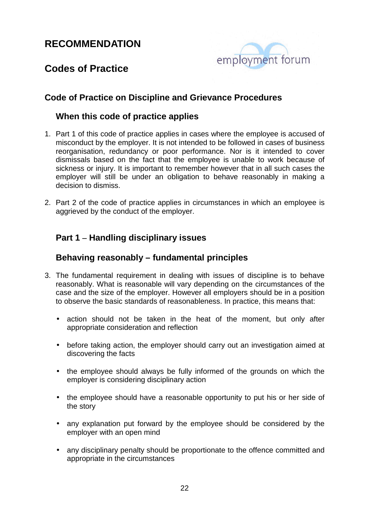

## **Codes of Practice**

#### **Code of Practice on Discipline and Grievance Procedures**

#### **When this code of practice applies**

- 1. Part 1 of this code of practice applies in cases where the employee is accused of misconduct by the employer. It is not intended to be followed in cases of business reorganisation, redundancy or poor performance. Nor is it intended to cover dismissals based on the fact that the employee is unable to work because of sickness or injury. It is important to remember however that in all such cases the employer will still be under an obligation to behave reasonably in making a decision to dismiss.
- 2. Part 2 of the code of practice applies in circumstances in which an employee is aggrieved by the conduct of the employer.

#### **Part 1 – Handling disciplinary issues**

#### **Behaving reasonably – fundamental principles**

- 3. The fundamental requirement in dealing with issues of discipline is to behave reasonably. What is reasonable will vary depending on the circumstances of the case and the size of the employer. However all employers should be in a position to observe the basic standards of reasonableness. In practice, this means that:
	- action should not be taken in the heat of the moment, but only after appropriate consideration and reflection
	- before taking action, the employer should carry out an investigation aimed at discovering the facts
	- the employee should always be fully informed of the grounds on which the employer is considering disciplinary action
	- the employee should have a reasonable opportunity to put his or her side of the story
	- any explanation put forward by the employee should be considered by the employer with an open mind
	- any disciplinary penalty should be proportionate to the offence committed and appropriate in the circumstances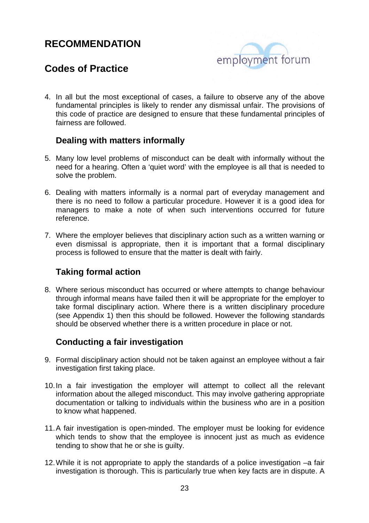

## **Codes of Practice**

4. In all but the most exceptional of cases, a failure to observe any of the above fundamental principles is likely to render any dismissal unfair. The provisions of this code of practice are designed to ensure that these fundamental principles of fairness are followed.

#### **Dealing with matters informally**

- 5. Many low level problems of misconduct can be dealt with informally without the need for a hearing. Often a 'quiet word' with the employee is all that is needed to solve the problem.
- 6. Dealing with matters informally is a normal part of everyday management and there is no need to follow a particular procedure. However it is a good idea for managers to make a note of when such interventions occurred for future reference.
- 7. Where the employer believes that disciplinary action such as a written warning or even dismissal is appropriate, then it is important that a formal disciplinary process is followed to ensure that the matter is dealt with fairly.

#### **Taking formal action**

8. Where serious misconduct has occurred or where attempts to change behaviour through informal means have failed then it will be appropriate for the employer to take formal disciplinary action. Where there is a written disciplinary procedure (see Appendix 1) then this should be followed. However the following standards should be observed whether there is a written procedure in place or not.

#### **Conducting a fair investigation**

- 9. Formal disciplinary action should not be taken against an employee without a fair investigation first taking place.
- 10. In a fair investigation the employer will attempt to collect all the relevant information about the alleged misconduct. This may involve gathering appropriate documentation or talking to individuals within the business who are in a position to know what happened.
- 11. A fair investigation is open-minded. The employer must be looking for evidence which tends to show that the employee is innocent just as much as evidence tending to show that he or she is guilty.
- 12. While it is not appropriate to apply the standards of a police investigation –a fair investigation is thorough. This is particularly true when key facts are in dispute. A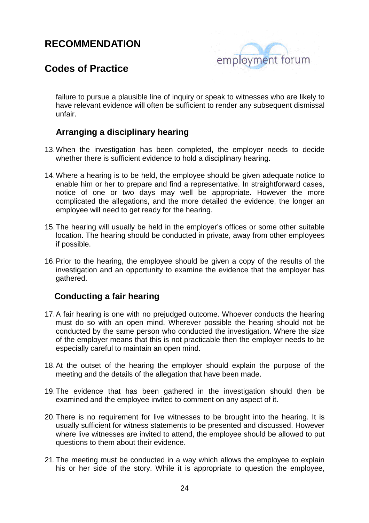

## **Codes of Practice**

failure to pursue a plausible line of inquiry or speak to witnesses who are likely to have relevant evidence will often be sufficient to render any subsequent dismissal unfair.

#### **Arranging a disciplinary hearing**

- 13. When the investigation has been completed, the employer needs to decide whether there is sufficient evidence to hold a disciplinary hearing.
- 14. Where a hearing is to be held, the employee should be given adequate notice to enable him or her to prepare and find a representative. In straightforward cases, notice of one or two days may well be appropriate. However the more complicated the allegations, and the more detailed the evidence, the longer an employee will need to get ready for the hearing.
- 15. The hearing will usually be held in the employer's offices or some other suitable location. The hearing should be conducted in private, away from other employees if possible.
- 16. Prior to the hearing, the employee should be given a copy of the results of the investigation and an opportunity to examine the evidence that the employer has gathered.

#### **Conducting a fair hearing**

- 17. A fair hearing is one with no prejudged outcome. Whoever conducts the hearing must do so with an open mind. Wherever possible the hearing should not be conducted by the same person who conducted the investigation. Where the size of the employer means that this is not practicable then the employer needs to be especially careful to maintain an open mind.
- 18. At the outset of the hearing the employer should explain the purpose of the meeting and the details of the allegation that have been made.
- 19. The evidence that has been gathered in the investigation should then be examined and the employee invited to comment on any aspect of it.
- 20. There is no requirement for live witnesses to be brought into the hearing. It is usually sufficient for witness statements to be presented and discussed. However where live witnesses are invited to attend, the employee should be allowed to put questions to them about their evidence.
- 21. The meeting must be conducted in a way which allows the employee to explain his or her side of the story. While it is appropriate to question the employee,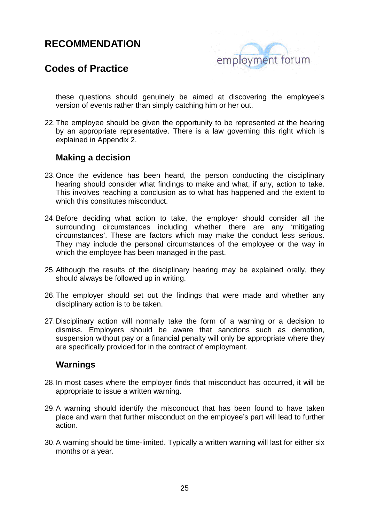

## **Codes of Practice**

these questions should genuinely be aimed at discovering the employee's version of events rather than simply catching him or her out.

22. The employee should be given the opportunity to be represented at the hearing by an appropriate representative. There is a law governing this right which is explained in Appendix 2.

#### **Making a decision**

- 23. Once the evidence has been heard, the person conducting the disciplinary hearing should consider what findings to make and what, if any, action to take. This involves reaching a conclusion as to what has happened and the extent to which this constitutes misconduct.
- 24. Before deciding what action to take, the employer should consider all the surrounding circumstances including whether there are any 'mitigating circumstances'. These are factors which may make the conduct less serious. They may include the personal circumstances of the employee or the way in which the employee has been managed in the past.
- 25. Although the results of the disciplinary hearing may be explained orally, they should always be followed up in writing.
- 26. The employer should set out the findings that were made and whether any disciplinary action is to be taken.
- 27. Disciplinary action will normally take the form of a warning or a decision to dismiss. Employers should be aware that sanctions such as demotion, suspension without pay or a financial penalty will only be appropriate where they are specifically provided for in the contract of employment.

#### **Warnings**

- 28. In most cases where the employer finds that misconduct has occurred, it will be appropriate to issue a written warning.
- 29. A warning should identify the misconduct that has been found to have taken place and warn that further misconduct on the employee's part will lead to further action.
- 30. A warning should be time-limited. Typically a written warning will last for either six months or a year.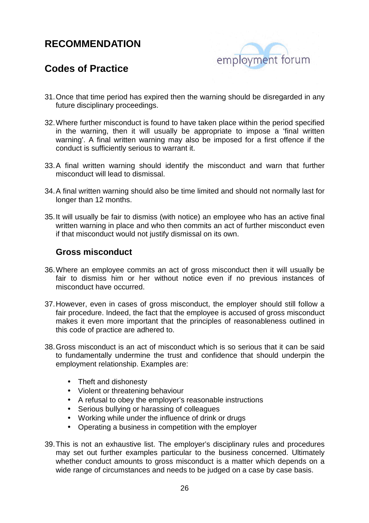

## **Codes of Practice**

- 31. Once that time period has expired then the warning should be disregarded in any future disciplinary proceedings.
- 32. Where further misconduct is found to have taken place within the period specified in the warning, then it will usually be appropriate to impose a 'final written warning'. A final written warning may also be imposed for a first offence if the conduct is sufficiently serious to warrant it.
- 33. A final written warning should identify the misconduct and warn that further misconduct will lead to dismissal.
- 34. A final written warning should also be time limited and should not normally last for longer than 12 months.
- 35. It will usually be fair to dismiss (with notice) an employee who has an active final written warning in place and who then commits an act of further misconduct even if that misconduct would not justify dismissal on its own.

#### **Gross misconduct**

- 36. Where an employee commits an act of gross misconduct then it will usually be fair to dismiss him or her without notice even if no previous instances of misconduct have occurred.
- 37. However, even in cases of gross misconduct, the employer should still follow a fair procedure. Indeed, the fact that the employee is accused of gross misconduct makes it even more important that the principles of reasonableness outlined in this code of practice are adhered to.
- 38. Gross misconduct is an act of misconduct which is so serious that it can be said to fundamentally undermine the trust and confidence that should underpin the employment relationship. Examples are:
	- Theft and dishonesty
	- Violent or threatening behaviour
	- A refusal to obey the employer's reasonable instructions
	- Serious bullying or harassing of colleagues
	- Working while under the influence of drink or drugs
	- Operating a business in competition with the employer
- 39. This is not an exhaustive list. The employer's disciplinary rules and procedures may set out further examples particular to the business concerned. Ultimately whether conduct amounts to gross misconduct is a matter which depends on a wide range of circumstances and needs to be judged on a case by case basis.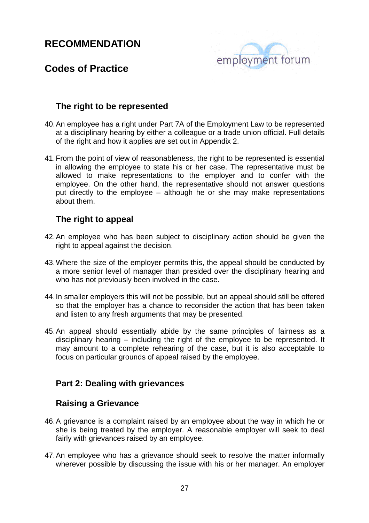

## **Codes of Practice**

#### **The right to be represented**

- 40. An employee has a right under Part 7A of the Employment Law to be represented at a disciplinary hearing by either a colleague or a trade union official. Full details of the right and how it applies are set out in Appendix 2.
- 41. From the point of view of reasonableness, the right to be represented is essential in allowing the employee to state his or her case. The representative must be allowed to make representations to the employer and to confer with the employee. On the other hand, the representative should not answer questions put directly to the employee – although he or she may make representations about them.

#### **The right to appeal**

- 42. An employee who has been subject to disciplinary action should be given the right to appeal against the decision.
- 43. Where the size of the employer permits this, the appeal should be conducted by a more senior level of manager than presided over the disciplinary hearing and who has not previously been involved in the case.
- 44. In smaller employers this will not be possible, but an appeal should still be offered so that the employer has a chance to reconsider the action that has been taken and listen to any fresh arguments that may be presented.
- 45. An appeal should essentially abide by the same principles of fairness as a disciplinary hearing – including the right of the employee to be represented. It may amount to a complete rehearing of the case, but it is also acceptable to focus on particular grounds of appeal raised by the employee.

#### **Part 2: Dealing with grievances**

#### **Raising a Grievance**

- 46. A grievance is a complaint raised by an employee about the way in which he or she is being treated by the employer. A reasonable employer will seek to deal fairly with grievances raised by an employee.
- 47. An employee who has a grievance should seek to resolve the matter informally wherever possible by discussing the issue with his or her manager. An employer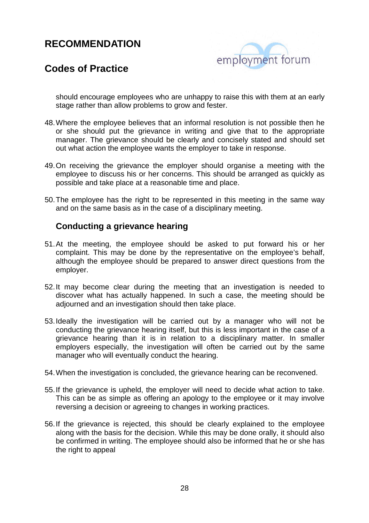

## **Codes of Practice**

should encourage employees who are unhappy to raise this with them at an early stage rather than allow problems to grow and fester.

- 48. Where the employee believes that an informal resolution is not possible then he or she should put the grievance in writing and give that to the appropriate manager. The grievance should be clearly and concisely stated and should set out what action the employee wants the employer to take in response.
- 49. On receiving the grievance the employer should organise a meeting with the employee to discuss his or her concerns. This should be arranged as quickly as possible and take place at a reasonable time and place.
- 50. The employee has the right to be represented in this meeting in the same way and on the same basis as in the case of a disciplinary meeting.

#### **Conducting a grievance hearing**

- 51. At the meeting, the employee should be asked to put forward his or her complaint. This may be done by the representative on the employee's behalf, although the employee should be prepared to answer direct questions from the employer.
- 52. It may become clear during the meeting that an investigation is needed to discover what has actually happened. In such a case, the meeting should be adjourned and an investigation should then take place.
- 53. Ideally the investigation will be carried out by a manager who will not be conducting the grievance hearing itself, but this is less important in the case of a grievance hearing than it is in relation to a disciplinary matter. In smaller employers especially, the investigation will often be carried out by the same manager who will eventually conduct the hearing.
- 54. When the investigation is concluded, the grievance hearing can be reconvened.
- 55. If the grievance is upheld, the employer will need to decide what action to take. This can be as simple as offering an apology to the employee or it may involve reversing a decision or agreeing to changes in working practices.
- 56. If the grievance is rejected, this should be clearly explained to the employee along with the basis for the decision. While this may be done orally, it should also be confirmed in writing. The employee should also be informed that he or she has the right to appeal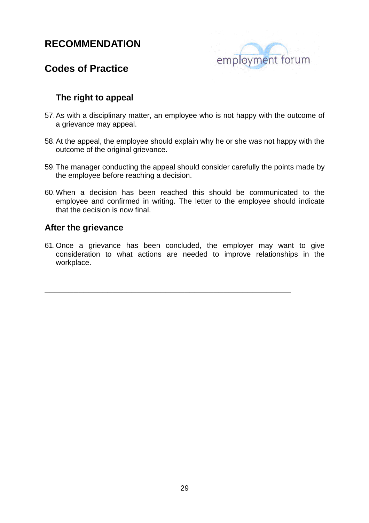

## **Codes of Practice**

#### **The right to appeal**

- 57. As with a disciplinary matter, an employee who is not happy with the outcome of a grievance may appeal.
- 58. At the appeal, the employee should explain why he or she was not happy with the outcome of the original grievance.
- 59. The manager conducting the appeal should consider carefully the points made by the employee before reaching a decision.
- 60. When a decision has been reached this should be communicated to the employee and confirmed in writing. The letter to the employee should indicate that the decision is now final.

#### **After the grievance**

61. Once a grievance has been concluded, the employer may want to give consideration to what actions are needed to improve relationships in the workplace.

**\_\_\_\_\_\_\_\_\_\_\_\_\_\_\_\_\_\_\_\_\_\_\_\_\_\_\_\_\_\_\_\_\_\_\_\_\_\_\_\_\_\_\_\_\_\_\_\_\_\_\_**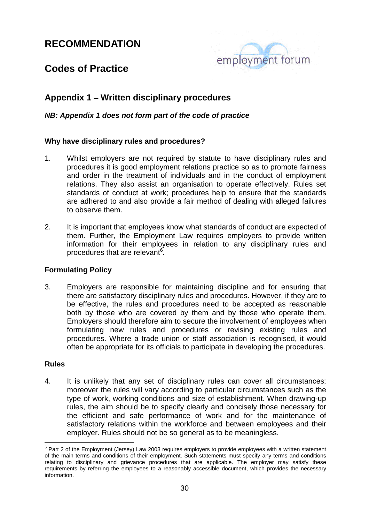

## **Codes of Practice**

#### **Appendix 1 – Written disciplinary procedures**

#### **NB: Appendix 1 does not form part of the code of practice**

#### **Why have disciplinary rules and procedures?**

- 1. Whilst employers are not required by statute to have disciplinary rules and procedures it is good employment relations practice so as to promote fairness and order in the treatment of individuals and in the conduct of employment relations. They also assist an organisation to operate effectively. Rules set standards of conduct at work; procedures help to ensure that the standards are adhered to and also provide a fair method of dealing with alleged failures to observe them.
- 2. It is important that employees know what standards of conduct are expected of them. Further, the Employment Law requires employers to provide written information for their employees in relation to any disciplinary rules and procedures that are relevant<sup>6</sup>.

#### **Formulating Policy**

3. Employers are responsible for maintaining discipline and for ensuring that there are satisfactory disciplinary rules and procedures. However, if they are to be effective, the rules and procedures need to be accepted as reasonable both by those who are covered by them and by those who operate them. Employers should therefore aim to secure the involvement of employees when formulating new rules and procedures or revising existing rules and procedures. Where a trade union or staff association is recognised, it would often be appropriate for its officials to participate in developing the procedures.

#### **Rules**

4. It is unlikely that any set of disciplinary rules can cover all circumstances; moreover the rules will vary according to particular circumstances such as the type of work, working conditions and size of establishment. When drawing-up rules, the aim should be to specify clearly and concisely those necessary for the efficient and safe performance of work and for the maintenance of satisfactory relations within the workforce and between employees and their employer. Rules should not be so general as to be meaningless.

 6 Part 2 of the Employment (Jersey) Law 2003 requires employers to provide employees with a written statement of the main terms and conditions of their employment. Such statements must specify any terms and conditions relating to disciplinary and grievance procedures that are applicable. The employer may satisfy these requirements by referring the employees to a reasonably accessible document, which provides the necessary information.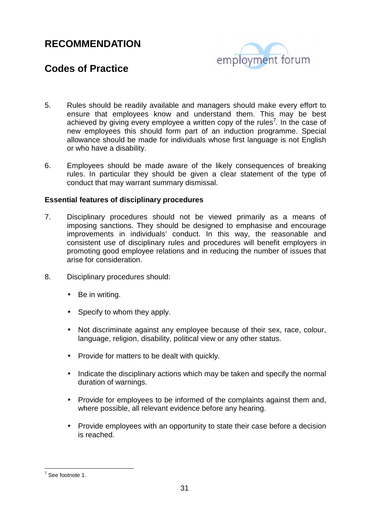# employment forum

## **Codes of Practice**

- 5. Rules should be readily available and managers should make every effort to ensure that employees know and understand them. This may be best achieved by giving every employee a written copy of the rules<sup>7</sup>. In the case of new employees this should form part of an induction programme. Special allowance should be made for individuals whose first language is not English or who have a disability.
- 6. Employees should be made aware of the likely consequences of breaking rules. In particular they should be given a clear statement of the type of conduct that may warrant summary dismissal.

#### **Essential features of disciplinary procedures**

- 7. Disciplinary procedures should not be viewed primarily as a means of imposing sanctions. They should be designed to emphasise and encourage improvements in individuals' conduct. In this way, the reasonable and consistent use of disciplinary rules and procedures will benefit employers in promoting good employee relations and in reducing the number of issues that arise for consideration.
- 8. Disciplinary procedures should:
	- Be in writing.
	- Specify to whom they apply.
	- Not discriminate against any employee because of their sex, race, colour, language, religion, disability, political view or any other status.
	- Provide for matters to be dealt with quickly.
	- Indicate the disciplinary actions which may be taken and specify the normal duration of warnings.
	- Provide for employees to be informed of the complaints against them and, where possible, all relevant evidence before any hearing.
	- Provide employees with an opportunity to state their case before a decision is reached.

<sup>&</sup>lt;sup>7</sup> See footnote 1.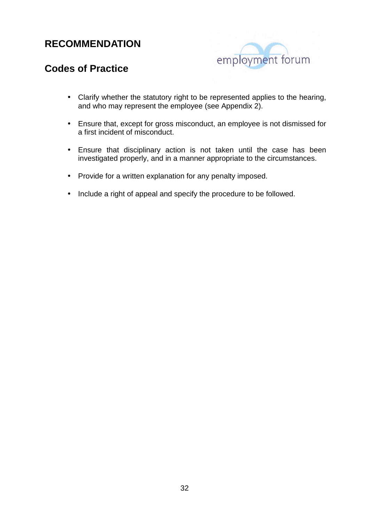

## **Codes of Practice**

- Clarify whether the statutory right to be represented applies to the hearing, and who may represent the employee (see Appendix 2).
- Ensure that, except for gross misconduct, an employee is not dismissed for a first incident of misconduct.
- Ensure that disciplinary action is not taken until the case has been investigated properly, and in a manner appropriate to the circumstances.
- Provide for a written explanation for any penalty imposed.
- Include a right of appeal and specify the procedure to be followed.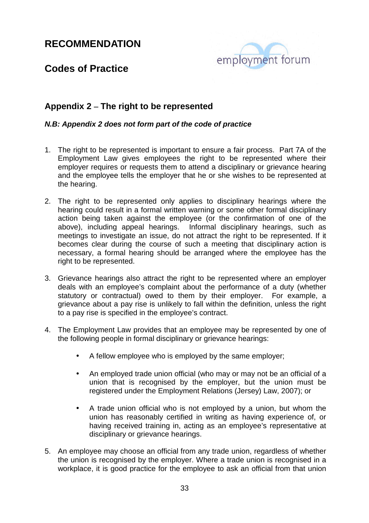

## **Codes of Practice**

#### **Appendix 2 – The right to be represented**

#### **N.B: Appendix 2 does not form part of the code of practice**

- 1. The right to be represented is important to ensure a fair process. Part 7A of the Employment Law gives employees the right to be represented where their employer requires or requests them to attend a disciplinary or grievance hearing and the employee tells the employer that he or she wishes to be represented at the hearing.
- 2. The right to be represented only applies to disciplinary hearings where the hearing could result in a formal written warning or some other formal disciplinary action being taken against the employee (or the confirmation of one of the above), including appeal hearings. Informal disciplinary hearings, such as meetings to investigate an issue, do not attract the right to be represented. If it becomes clear during the course of such a meeting that disciplinary action is necessary, a formal hearing should be arranged where the employee has the right to be represented.
- 3. Grievance hearings also attract the right to be represented where an employer deals with an employee's complaint about the performance of a duty (whether statutory or contractual) owed to them by their employer. For example, a grievance about a pay rise is unlikely to fall within the definition, unless the right to a pay rise is specified in the employee's contract.
- 4. The Employment Law provides that an employee may be represented by one of the following people in formal disciplinary or grievance hearings:
	- A fellow employee who is employed by the same employer;
	- An employed trade union official (who may or may not be an official of a union that is recognised by the employer, but the union must be registered under the Employment Relations (Jersey) Law, 2007); or
	- A trade union official who is not employed by a union, but whom the union has reasonably certified in writing as having experience of, or having received training in, acting as an employee's representative at disciplinary or grievance hearings.
- 5. An employee may choose an official from any trade union, regardless of whether the union is recognised by the employer. Where a trade union is recognised in a workplace, it is good practice for the employee to ask an official from that union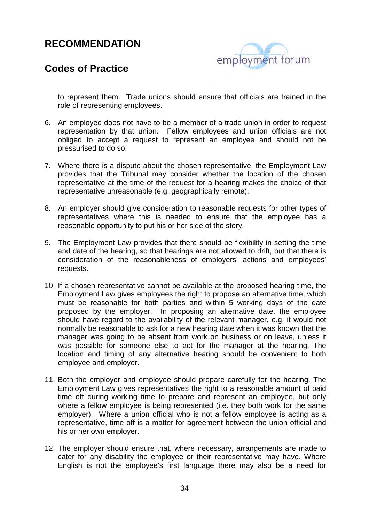

## **Codes of Practice**

to represent them. Trade unions should ensure that officials are trained in the role of representing employees.

- 6. An employee does not have to be a member of a trade union in order to request representation by that union. Fellow employees and union officials are not obliged to accept a request to represent an employee and should not be pressurised to do so.
- 7. Where there is a dispute about the chosen representative, the Employment Law provides that the Tribunal may consider whether the location of the chosen representative at the time of the request for a hearing makes the choice of that representative unreasonable (e.g. geographically remote).
- 8. An employer should give consideration to reasonable requests for other types of representatives where this is needed to ensure that the employee has a reasonable opportunity to put his or her side of the story.
- 9. The Employment Law provides that there should be flexibility in setting the time and date of the hearing, so that hearings are not allowed to drift, but that there is consideration of the reasonableness of employers' actions and employees' requests.
- 10. If a chosen representative cannot be available at the proposed hearing time, the Employment Law gives employees the right to propose an alternative time, which must be reasonable for both parties and within 5 working days of the date proposed by the employer. In proposing an alternative date, the employee should have regard to the availability of the relevant manager, e.g. it would not normally be reasonable to ask for a new hearing date when it was known that the manager was going to be absent from work on business or on leave, unless it was possible for someone else to act for the manager at the hearing. The location and timing of any alternative hearing should be convenient to both employee and employer.
- 11. Both the employer and employee should prepare carefully for the hearing. The Employment Law gives representatives the right to a reasonable amount of paid time off during working time to prepare and represent an employee, but only where a fellow employee is being represented (i.e. they both work for the same employer). Where a union official who is not a fellow employee is acting as a representative, time off is a matter for agreement between the union official and his or her own employer.
- 12. The employer should ensure that, where necessary, arrangements are made to cater for any disability the employee or their representative may have. Where English is not the employee's first language there may also be a need for